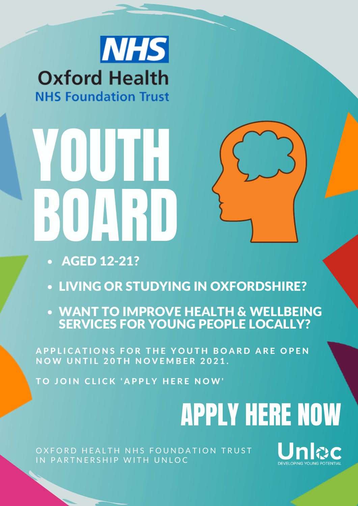### **NHS Oxford Health NHS Foundation Trust**

# **WOUTH** BOARD ST

- AGED 12-21?
- LIVING OR STUDYING IN OXFORDSHIRE?
- **WANT TO IMPROVE HEALTH & WELLBEING** SERVICES FOR YOUNG PEOPLE LOCALLY?

APPLICATIONS FOR THE YOUTH BOARD ARE OPEN NOW UNTIL 20TH NOVEMBER 2021.

TO JOIN CLICK 'APPLY HERE NOW'

## [APPLY](https://forms.monday.com/forms/0abf94602aa10c0a8a5ab2424c1c8138?r=use1) HERE NOW

OXFORD HEALTH NHS FOUNDATION TRUST IN PARTNERSHIP WITH UNLOC

Jnlæc